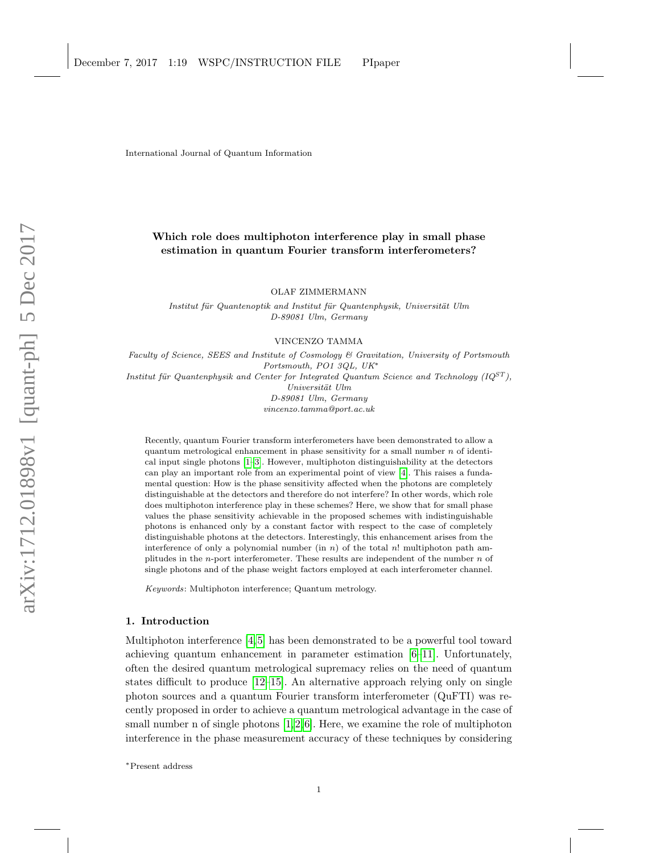International Journal of Quantum Information

# Which role does multiphoton interference play in small phase estimation in quantum Fourier transform interferometers?

OLAF ZIMMERMANN

Institut für Quantenoptik and Institut für Quantenphysik, Universität Ulm D-89081 Ulm, Germany

VINCENZO TAMMA

Faculty of Science, SEES and Institute of Cosmology & Gravitation, University of Portsmouth Portsmouth, PO1 3QL, UK<sup>∗</sup> Institut für Quantenphysik and Center for Integrated Quantum Science and Technology ( $IQ^{ST}$ ),  $Universität$  Ulm D-89081 Ulm, Germany vincenzo.tamma@port.ac.uk

Recently, quantum Fourier transform interferometers have been demonstrated to allow a quantum metrological enhancement in phase sensitivity for a small number  $n$  of identical input single photons [\[1](#page-5-0)[–3\]](#page-5-1). However, multiphoton distinguishability at the detectors can play an important role from an experimental point of view [\[4\]](#page-5-2). This raises a fundamental question: How is the phase sensitivity affected when the photons are completely distinguishable at the detectors and therefore do not interfere? In other words, which role does multiphoton interference play in these schemes? Here, we show that for small phase values the phase sensitivity achievable in the proposed schemes with indistinguishable photons is enhanced only by a constant factor with respect to the case of completely distinguishable photons at the detectors. Interestingly, this enhancement arises from the interference of only a polynomial number (in n) of the total n! multiphoton path amplitudes in the *n*-port interferometer. These results are independent of the number  $n$  of single photons and of the phase weight factors employed at each interferometer channel.

Keywords: Multiphoton interference; Quantum metrology.

## 1. Introduction

Multiphoton interference [\[4,](#page-5-2)[5\]](#page-5-3) has been demonstrated to be a powerful tool toward achieving quantum enhancement in parameter estimation [\[6–](#page-5-4)[11\]](#page-5-5). Unfortunately, often the desired quantum metrological supremacy relies on the need of quantum states difficult to produce [\[12–](#page-5-6)[15\]](#page-6-0). An alternative approach relying only on single photon sources and a quantum Fourier transform interferometer (QuFTI) was recently proposed in order to achieve a quantum metrological advantage in the case of small number n of single photons  $[1,2,6]$  $[1,2,6]$  $[1,2,6]$ . Here, we examine the role of multiphoton interference in the phase measurement accuracy of these techniques by considering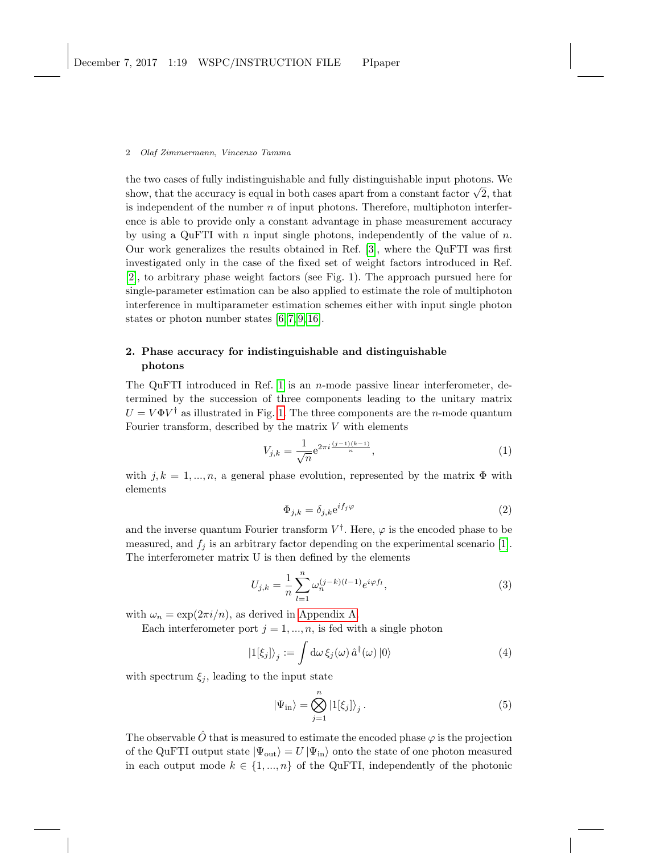the two cases of fully indistinguishable and fully distinguishable input photons. We show, that the accuracy is equal in both cases apart from a constant factor  $\sqrt{2}$ , that is independent of the number  $n$  of input photons. Therefore, multiphoton interference is able to provide only a constant advantage in phase measurement accuracy by using a QuFTI with n input single photons, independently of the value of  $n$ . Our work generalizes the results obtained in Ref. [\[3\]](#page-5-1), where the QuFTI was first investigated only in the case of the fixed set of weight factors introduced in Ref. [\[2\]](#page-5-7), to arbitrary phase weight factors (see Fig. 1). The approach pursued here for single-parameter estimation can be also applied to estimate the role of multiphoton interference in multiparameter estimation schemes either with input single photon states or photon number states [\[6,](#page-5-4) [7,](#page-5-8) [9,](#page-5-9) [16\]](#page-6-1).

## 2. Phase accuracy for indistinguishable and distinguishable photons

The QuFTI introduced in Ref. [1](#page-5-0) is an  $n$ -mode passive linear interferometer, determined by the succession of three components leading to the unitary matrix  $U = V \Phi V^{\dagger}$  as illustrated in Fig. [1.](#page-2-0) The three components are the *n*-mode quantum Fourier transform, described by the matrix  $V$  with elements

<span id="page-1-0"></span>
$$
V_{j,k} = \frac{1}{\sqrt{n}} e^{2\pi i \frac{(j-1)(k-1)}{n}},\tag{1}
$$

with  $j, k = 1, ..., n$ , a general phase evolution, represented by the matrix  $\Phi$  with elements

<span id="page-1-1"></span>
$$
\Phi_{j,k} = \delta_{j,k} e^{i f_j \varphi} \tag{2}
$$

and the inverse quantum Fourier transform  $V^{\dagger}$ . Here,  $\varphi$  is the encoded phase to be measured, and  $f_j$  is an arbitrary factor depending on the experimental scenario [\[1\]](#page-5-0). The interferometer matrix U is then defined by the elements

$$
U_{j,k} = \frac{1}{n} \sum_{l=1}^{n} \omega_n^{(j-k)(l-1)} e^{i\varphi f_l}, \tag{3}
$$

with  $\omega_n = \exp(2\pi i/n)$ , as derived in [Appendix A.](#page-6-2)

Each interferometer port  $j = 1, ..., n$ , is fed with a single photon

$$
\left|1[\xi_j]\right\rangle_j := \int \mathrm{d}\omega \,\xi_j(\omega) \,\hat{a}^\dagger(\omega) \left|0\right\rangle \tag{4}
$$

with spectrum  $\xi_j$ , leading to the input state

$$
|\Psi_{\rm in}\rangle = \bigotimes_{j=1}^{n} |1[\xi_j]\rangle_j.
$$
 (5)

The observable  $\hat{O}$  that is measured to estimate the encoded phase  $\varphi$  is the projection of the QuFTI output state  $|\Psi_{\text{out}}\rangle = U |\Psi_{\text{in}}\rangle$  onto the state of one photon measured in each output mode  $k \in \{1, ..., n\}$  of the QuFTI, independently of the photonic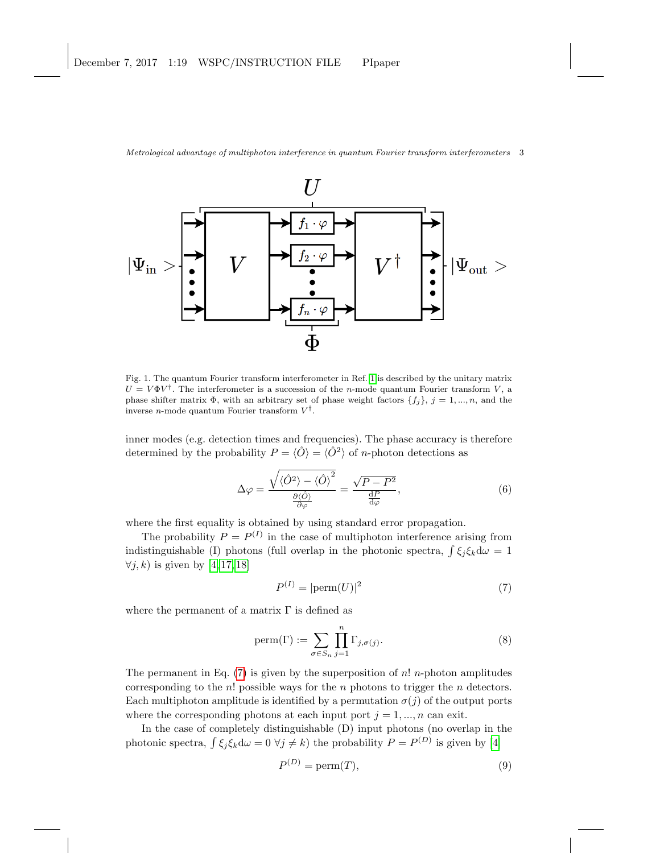

<span id="page-2-0"></span>Fig. 1. The quantum Fourier transform interferometer in Ref. [1](#page-5-0) is described by the unitary matrix  $U = V \Phi V^{\dagger}$ . The interferometer is a succession of the *n*-mode quantum Fourier transform V, a phase shifter matrix  $\Phi$ , with an arbitrary set of phase weight factors  $\{f_j\}, j = 1, ..., n$ , and the inverse *n*-mode quantum Fourier transform  $V^{\dagger}$ .

inner modes (e.g. detection times and frequencies). The phase accuracy is therefore determined by the probability  $P = \langle \hat{O} \rangle = \langle \hat{O}^2 \rangle$  of *n*-photon detections as

<span id="page-2-3"></span>
$$
\Delta \varphi = \frac{\sqrt{\langle \hat{O}^2 \rangle - \langle \hat{O} \rangle^2}}{\frac{\partial \langle \hat{O} \rangle}{\partial \varphi}} = \frac{\sqrt{P - P^2}}{\frac{dP}{d\varphi}},\tag{6}
$$

where the first equality is obtained by using standard error propagation.

The probability  $P = P^{(I)}$  in the case of multiphoton interference arising from indistinguishable (I) photons (full overlap in the photonic spectra,  $\int \xi_j \xi_k d\omega = 1$  $\forall j, k$ ) is given by [\[4,](#page-5-2) [17,](#page-6-3) [18\]](#page-6-4)

<span id="page-2-4"></span><span id="page-2-1"></span>
$$
P^{(I)} = |\text{perm}(U)|^2 \tag{7}
$$

where the permanent of a matrix  $\Gamma$  is defined as

$$
\text{perm}(\Gamma) := \sum_{\sigma \in S_n} \prod_{j=1}^n \Gamma_{j,\sigma(j)}.
$$
 (8)

The permanent in Eq.  $(7)$  is given by the superposition of n! n-photon amplitudes corresponding to the  $n!$  possible ways for the  $n$  photons to trigger the  $n$  detectors. Each multiphoton amplitude is identified by a permutation  $\sigma(j)$  of the output ports where the corresponding photons at each input port  $j = 1, ..., n$  can exit.

In the case of completely distinguishable (D) input photons (no overlap in the photonic spectra,  $\int \xi_j \xi_k d\omega = 0 \ \forall j \neq k$ ) the probability  $P = P^{(D)}$  is given by [\[4\]](#page-5-2)

<span id="page-2-2"></span>
$$
P^{(D)} = \text{perm}(T),\tag{9}
$$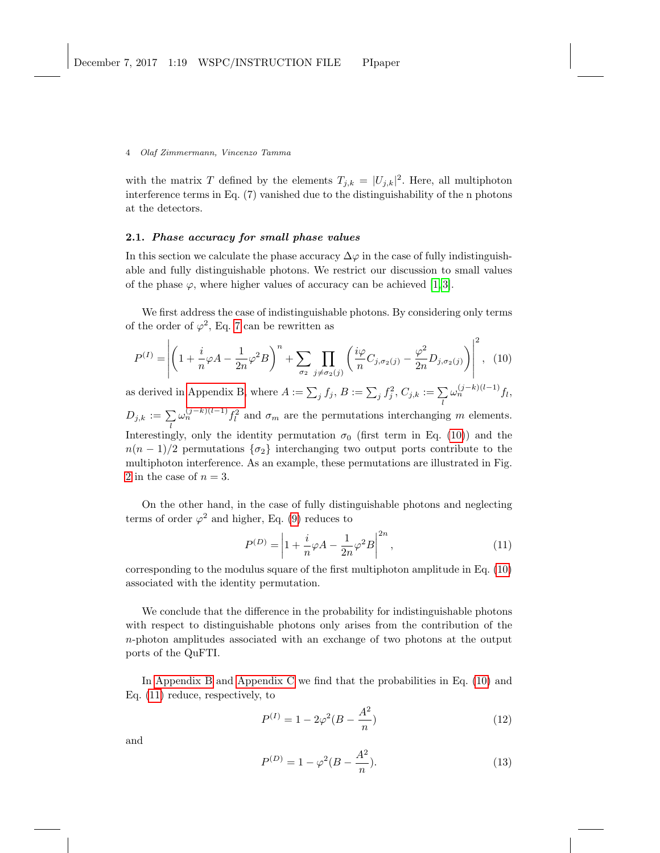with the matrix T defined by the elements  $T_{j,k} = |U_{j,k}|^2$ . Here, all multiphoton interference terms in Eq. (7) vanished due to the distinguishability of the n photons at the detectors.

## 2.1. Phase accuracy for small phase values

In this section we calculate the phase accuracy  $\Delta\varphi$  in the case of fully indistinguishable and fully distinguishable photons. We restrict our discussion to small values of the phase  $\varphi$ , where higher values of accuracy can be achieved [\[1,](#page-5-0)3].

We first address the case of indistinguishable photons. By considering only terms of the order of  $\varphi^2$ , Eq. [7](#page-2-1) can be rewritten as

$$
P^{(I)} = \left| \left( 1 + \frac{i}{n} \varphi A - \frac{1}{2n} \varphi^2 B \right)^n + \sum_{\sigma_2} \prod_{j \neq \sigma_2(j)} \left( \frac{i \varphi}{n} C_{j, \sigma_2(j)} - \frac{\varphi^2}{2n} D_{j, \sigma_2(j)} \right) \right|^2, \tag{10}
$$

as derived in [Appendix B,](#page-6-5) where  $A := \sum_j f_j$ ,  $B := \sum_j f_j^2$ ,  $C_{j,k} := \sum_l$  $\omega_n^{(j-k)(l-1)}f_l,$  $D_{j,k} := \sum_l$  $\omega_n^{(j-k)(l-1)} f_l^2$  and  $\sigma_m$  are the permutations interchanging m elements. Interestingly, only the identity permutation  $\sigma_0$  (first term in Eq. [\(10\)](#page-3-0)) and the  $n(n-1)/2$  permutations  $\{\sigma_2\}$  interchanging two output ports contribute to the multiphoton interference. As an example, these permutations are illustrated in Fig. [2](#page-4-0) in the case of  $n = 3$ .

On the other hand, in the case of fully distinguishable photons and neglecting terms of order  $\varphi^2$  and higher, Eq. [\(9\)](#page-2-2) reduces to

<span id="page-3-1"></span><span id="page-3-0"></span>
$$
P^{(D)} = \left| 1 + \frac{i}{n} \varphi A - \frac{1}{2n} \varphi^2 B \right|^{2n},
$$
\n(11)

corresponding to the modulus square of the first multiphoton amplitude in Eq. [\(10\)](#page-3-0) associated with the identity permutation.

We conclude that the difference in the probability for indistinguishable photons with respect to distinguishable photons only arises from the contribution of the n-photon amplitudes associated with an exchange of two photons at the output ports of the QuFTI.

In [Appendix B](#page-6-5) and [Appendix C](#page-8-0) we find that the probabilities in Eq. [\(10\)](#page-3-0) and Eq. [\(11\)](#page-3-1) reduce, respectively, to

<span id="page-3-2"></span>
$$
P^{(I)} = 1 - 2\varphi^2 (B - \frac{A^2}{n})
$$
\n(12)

and

<span id="page-3-3"></span>
$$
P^{(D)} = 1 - \varphi^2 (B - \frac{A^2}{n}).
$$
\n(13)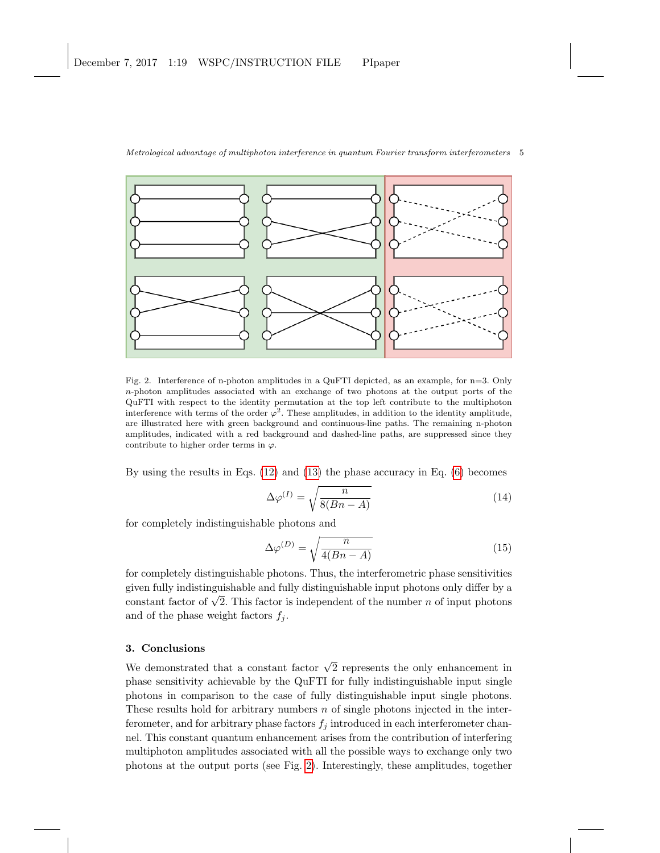

<span id="page-4-0"></span>Fig. 2. Interference of n-photon amplitudes in a QuFTI depicted, as an example, for n=3. Only n-photon amplitudes associated with an exchange of two photons at the output ports of the QuFTI with respect to the identity permutation at the top left contribute to the multiphoton interference with terms of the order  $\varphi^2$ . These amplitudes, in addition to the identity amplitude, are illustrated here with green background and continuous-line paths. The remaining n-photon amplitudes, indicated with a red background and dashed-line paths, are suppressed since they contribute to higher order terms in  $\varphi$ .

By using the results in Eqs. [\(12\)](#page-3-2) and [\(13\)](#page-3-3) the phase accuracy in Eq. [\(6\)](#page-2-3) becomes

$$
\Delta \varphi^{(I)} = \sqrt{\frac{n}{8(Bn - A)}}\tag{14}
$$

for completely indistinguishable photons and

$$
\Delta \varphi^{(D)} = \sqrt{\frac{n}{4(Bn - A)}}
$$
\n(15)

for completely distinguishable photons. Thus, the interferometric phase sensitivities given fully indistinguishable and fully distinguishable input photons only differ by a given runy maistinguishable and runy distinguishable input photons only differ by a constant factor of  $\sqrt{2}$ . This factor is independent of the number n of input photons and of the phase weight factors  $f_i$ .

## 3. Conclusions

We demonstrated that a constant factor  $\sqrt{2}$  represents the only enhancement in phase sensitivity achievable by the QuFTI for fully indistinguishable input single photons in comparison to the case of fully distinguishable input single photons. These results hold for arbitrary numbers  $n$  of single photons injected in the interferometer, and for arbitrary phase factors  $f_i$  introduced in each interferometer channel. This constant quantum enhancement arises from the contribution of interfering multiphoton amplitudes associated with all the possible ways to exchange only two photons at the output ports (see Fig. [2\)](#page-4-0). Interestingly, these amplitudes, together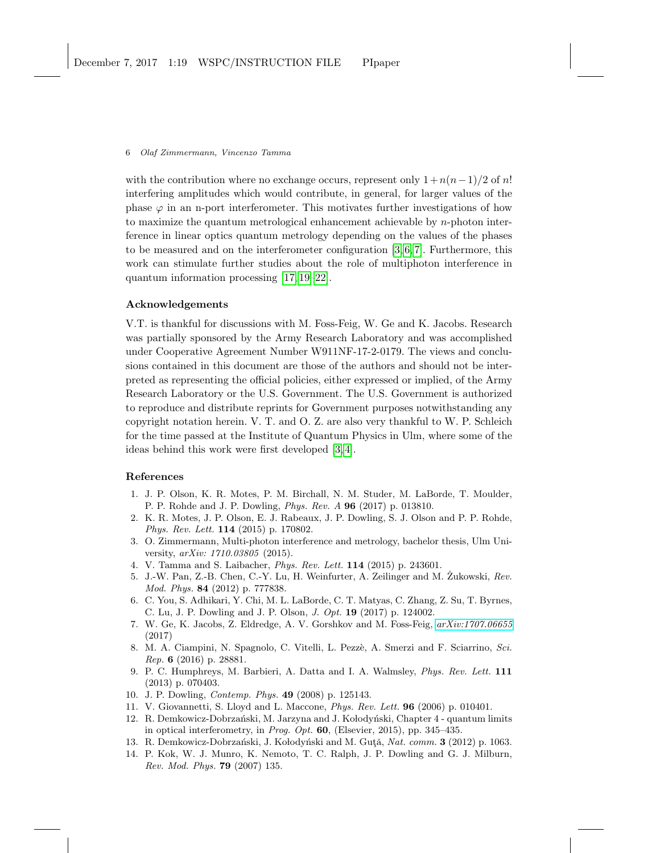with the contribution where no exchange occurs, represent only  $1 + n(n-1)/2$  of n! interfering amplitudes which would contribute, in general, for larger values of the phase  $\varphi$  in an n-port interferometer. This motivates further investigations of how to maximize the quantum metrological enhancement achievable by  $n$ -photon interference in linear optics quantum metrology depending on the values of the phases to be measured and on the interferometer configuration [\[3,](#page-5-1) [6,](#page-5-4) [7\]](#page-5-8). Furthermore, this work can stimulate further studies about the role of multiphoton interference in quantum information processing [\[17,](#page-6-3) [19–](#page-6-6)[22\]](#page-6-7).

## Acknowledgements

V.T. is thankful for discussions with M. Foss-Feig, W. Ge and K. Jacobs. Research was partially sponsored by the Army Research Laboratory and was accomplished under Cooperative Agreement Number W911NF-17-2-0179. The views and conclusions contained in this document are those of the authors and should not be interpreted as representing the official policies, either expressed or implied, of the Army Research Laboratory or the U.S. Government. The U.S. Government is authorized to reproduce and distribute reprints for Government purposes notwithstanding any copyright notation herein. V. T. and O. Z. are also very thankful to W. P. Schleich for the time passed at the Institute of Quantum Physics in Ulm, where some of the ideas behind this work were first developed [\[3,](#page-5-1) [4\]](#page-5-2).

### References

- <span id="page-5-0"></span>1. J. P. Olson, K. R. Motes, P. M. Birchall, N. M. Studer, M. LaBorde, T. Moulder, P. P. Rohde and J. P. Dowling, Phys. Rev. A 96 (2017) p. 013810.
- <span id="page-5-7"></span>2. K. R. Motes, J. P. Olson, E. J. Rabeaux, J. P. Dowling, S. J. Olson and P. P. Rohde, Phys. Rev. Lett. 114 (2015) p. 170802.
- <span id="page-5-1"></span>3. O. Zimmermann, Multi-photon interference and metrology, bachelor thesis, Ulm University, arXiv: 1710.03805 (2015).
- <span id="page-5-2"></span>4. V. Tamma and S. Laibacher, Phys. Rev. Lett. 114 (2015) p. 243601.
- <span id="page-5-3"></span>5. J.-W. Pan, Z.-B. Chen, C.-Y. Lu, H. Weinfurter, A. Zeilinger and M. Zukowski, Rev. Mod. Phys. 84 (2012) p. 777838.
- <span id="page-5-4"></span>6. C. You, S. Adhikari, Y. Chi, M. L. LaBorde, C. T. Matyas, C. Zhang, Z. Su, T. Byrnes, C. Lu, J. P. Dowling and J. P. Olson, J. Opt. 19 (2017) p. 124002.
- <span id="page-5-8"></span>7. W. Ge, K. Jacobs, Z. Eldredge, A. V. Gorshkov and M. Foss-Feig, [arXiv:1707.06655](http://arxiv.org/abs/1707.06655) (2017)
- 8. M. A. Ciampini, N. Spagnolo, C. Vitelli, L. Pezzè, A. Smerzi and F. Sciarrino, Sci. Rep. 6 (2016) p. 28881.
- <span id="page-5-9"></span>9. P. C. Humphreys, M. Barbieri, A. Datta and I. A. Walmsley, Phys. Rev. Lett. 111 (2013) p. 070403.
- 10. J. P. Dowling, Contemp. Phys. 49 (2008) p. 125143.
- <span id="page-5-5"></span>11. V. Giovannetti, S. Lloyd and L. Maccone, Phys. Rev. Lett. 96 (2006) p. 010401.
- <span id="page-5-6"></span>12. R. Demkowicz-Dobrzański, M. Jarzyna and J. Kołodyński, Chapter 4 - quantum limits in optical interferometry, in Prog. Opt.  $60$ , (Elsevier, 2015), pp. 345–435.
- 13. R. Demkowicz-Dobrzański, J. Kołodyński and M. Gută, Nat. comm. 3 (2012) p. 1063.
- 14. P. Kok, W. J. Munro, K. Nemoto, T. C. Ralph, J. P. Dowling and G. J. Milburn, Rev. Mod. Phys. 79 (2007) 135.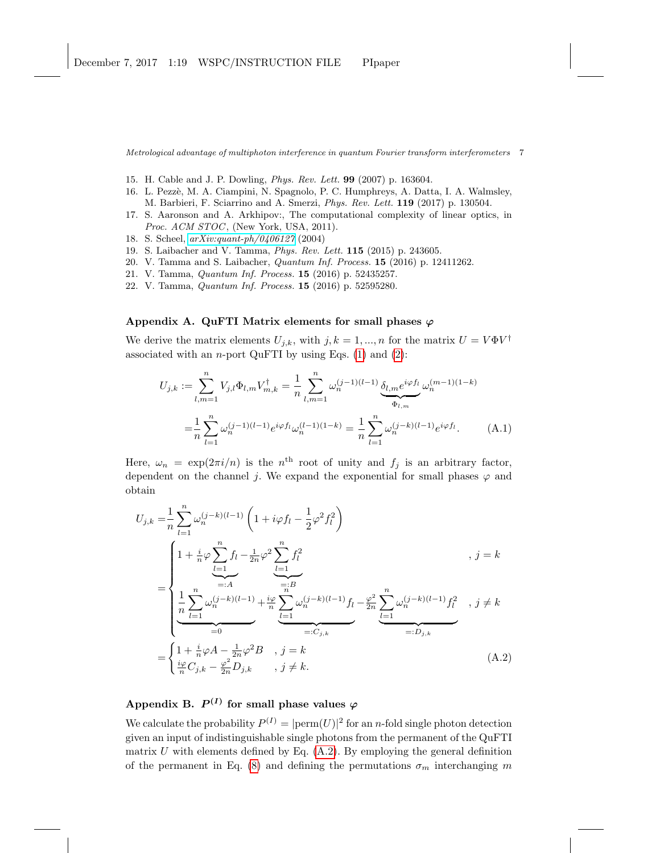- <span id="page-6-0"></span>15. H. Cable and J. P. Dowling, Phys. Rev. Lett. 99 (2007) p. 163604.
- <span id="page-6-1"></span>16. L. Pezzè, M. A. Ciampini, N. Spagnolo, P. C. Humphreys, A. Datta, I. A. Walmsley, M. Barbieri, F. Sciarrino and A. Smerzi, Phys. Rev. Lett. 119 (2017) p. 130504.
- <span id="page-6-3"></span>17. S. Aaronson and A. Arkhipov:, The computational complexity of linear optics, in Proc. ACM STOC, (New York, USA, 2011).
- <span id="page-6-4"></span>18. S. Scheel, [arXiv:quant-ph/0406127](http://arxiv.org/abs/quant-ph/0406127) (2004)
- <span id="page-6-6"></span>19. S. Laibacher and V. Tamma, Phys. Rev. Lett. 115 (2015) p. 243605.
- 20. V. Tamma and S. Laibacher, Quantum Inf. Process. 15 (2016) p. 12411262.
- 21. V. Tamma, Quantum Inf. Process. 15 (2016) p. 52435257.
- <span id="page-6-7"></span>22. V. Tamma, Quantum Inf. Process. 15 (2016) p. 52595280.

## <span id="page-6-2"></span>Appendix A. QuFTI Matrix elements for small phases  $\varphi$

We derive the matrix elements  $U_{j,k}$ , with  $j, k = 1, ..., n$  for the matrix  $U = V \Phi V^{\dagger}$ associated with an *n*-port QuFTI by using Eqs.  $(1)$  and  $(2)$ :

$$
U_{j,k} := \sum_{l,m=1}^{n} V_{j,l} \Phi_{l,m} V_{m,k}^{\dagger} = \frac{1}{n} \sum_{l,m=1}^{n} \omega_n^{(j-1)(l-1)} \underbrace{\delta_{l,m} e^{i\varphi f_l}}_{\Phi_{l,m}} \omega_n^{(m-1)(1-k)}
$$

$$
= \frac{1}{n} \sum_{l=1}^{n} \omega_n^{(j-1)(l-1)} e^{i\varphi f_l} \omega_n^{(l-1)(1-k)} = \frac{1}{n} \sum_{l=1}^{n} \omega_n^{(j-k)(l-1)} e^{i\varphi f_l} . \tag{A.1}
$$

Here,  $\omega_n = \exp(2\pi i/n)$  is the n<sup>th</sup> root of unity and  $f_j$  is an arbitrary factor, dependent on the channel j. We expand the exponential for small phases  $\varphi$  and obtain

$$
U_{j,k} = \frac{1}{n} \sum_{l=1}^{n} \omega_n^{(j-k)(l-1)} \left( 1 + i\varphi f_l - \frac{1}{2} \varphi^2 f_l^2 \right)
$$
  
\n
$$
= \begin{cases}\n1 + \frac{i}{n} \varphi \sum_{l=1}^{n} f_l - \frac{1}{2n} \varphi^2 \sum_{l=1}^{n} f_l^2 \\
\frac{1}{n} \sum_{l=1}^{n} \omega_n^{(j-k)(l-1)} + \frac{i\varphi}{n} \sum_{l=1}^{n} \omega_n^{(j-k)(l-1)} f_l - \frac{\varphi^2}{2n} \sum_{l=1}^{n} \omega_n^{(j-k)(l-1)} f_l^2, \quad j \neq k \\
\frac{1}{n} \sum_{l=0}^{n} \omega_n^{(j-k)(l-1)} + \frac{i\varphi}{n} \sum_{l=1}^{n} \omega_n^{(j-k)(l-1)} f_l - \frac{\varphi^2}{2n} \sum_{l=1}^{n} \omega_n^{(j-k)(l-1)} f_l^2, \quad j \neq k \\
\frac{1}{n} \sum_{l=1}^{n} G_{j,k} - \frac{\varphi^2}{2n} D_{j,k}, \quad j \neq k.\n\end{cases} (A.2)
$$

## <span id="page-6-8"></span><span id="page-6-5"></span>Appendix B.  $P^{(I)}$  for small phase values  $\varphi$

We calculate the probability  $P^{(I)} = |\text{perm}(U)|^2$  for an *n*-fold single photon detection given an input of indistinguishable single photons from the permanent of the QuFTI matrix  $U$  with elements defined by Eq.  $(A.2)$ . By employing the general definition of the permanent in Eq. [\(8\)](#page-2-4) and defining the permutations  $\sigma_m$  interchanging m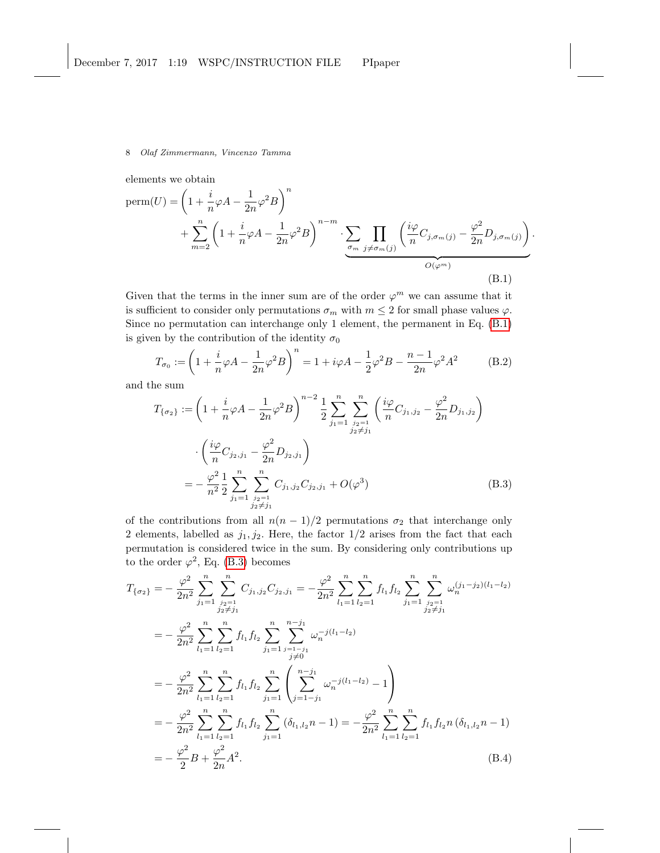elements we obtain

$$
\text{perm}(U) = \left(1 + \frac{i}{n}\varphi A - \frac{1}{2n}\varphi^2 B\right)^n + \sum_{m=2}^n \left(1 + \frac{i}{n}\varphi A - \frac{1}{2n}\varphi^2 B\right)^{n-m} \cdot \sum_{\substack{\sigma_{m} \ j \neq \sigma_m(j)}} \prod_{j \neq \sigma_m(j)} \left(\frac{i\varphi}{n} C_{j,\sigma_m(j)} - \frac{\varphi^2}{2n} D_{j,\sigma_m(j)}\right)^{n-m} \cdot \frac{\varphi^2}{O(\varphi^m)} \tag{B.1}
$$

<span id="page-7-2"></span><span id="page-7-1"></span><span id="page-7-0"></span>.

Given that the terms in the inner sum are of the order  $\varphi^m$  we can assume that it is sufficient to consider only permutations  $\sigma_m$  with  $m \leq 2$  for small phase values  $\varphi$ . Since no permutation can interchange only 1 element, the permanent in Eq. [\(B.1\)](#page-7-0) is given by the contribution of the identity  $\sigma_0$ 

$$
T_{\sigma_0} := \left(1 + \frac{i}{n}\varphi A - \frac{1}{2n}\varphi^2 B\right)^n = 1 + i\varphi A - \frac{1}{2}\varphi^2 B - \frac{n-1}{2n}\varphi^2 A^2 \tag{B.2}
$$

and the sum

$$
T_{\{\sigma_2\}} := \left(1 + \frac{i}{n}\varphi A - \frac{1}{2n}\varphi^2 B\right)^{n-2} \frac{1}{2} \sum_{j_1=1}^n \sum_{\substack{j_2=1 \ j_2 \neq j_1}}^n \left(\frac{i\varphi}{n} C_{j_1, j_2} - \frac{\varphi^2}{2n} D_{j_1, j_2}\right)
$$

$$
\cdot \left(\frac{i\varphi}{n} C_{j_2, j_1} - \frac{\varphi^2}{2n} D_{j_2, j_1}\right)
$$

$$
= -\frac{\varphi^2}{n^2} \frac{1}{2} \sum_{j_1=1}^n \sum_{\substack{j_2=1 \ j_2 \neq j_1}}^n C_{j_1, j_2} C_{j_2, j_1} + O(\varphi^3)
$$
(B.3)

of the contributions from all  $n(n - 1)/2$  permutations  $\sigma_2$  that interchange only 2 elements, labelled as  $j_1, j_2$ . Here, the factor  $1/2$  arises from the fact that each permutation is considered twice in the sum. By considering only contributions up to the order  $\varphi^2$ , Eq. [\(B.3\)](#page-7-1) becomes

<span id="page-7-3"></span>
$$
T_{\{\sigma_2\}} = -\frac{\varphi^2}{2n^2} \sum_{j_1=1}^n \sum_{\substack{j_2=1 \ j_2 \neq j_1}}^n C_{j_1, j_2} C_{j_2, j_1} = -\frac{\varphi^2}{2n^2} \sum_{l_1=1}^n \sum_{l_2=1}^n f_{l_1} f_{l_2} \sum_{j_1=1}^n \sum_{\substack{j_2=1 \ j_2 \neq j_1}}^n \omega_n^{(j_1-j_2)(l_1-l_2)}
$$
  
\n
$$
= -\frac{\varphi^2}{2n^2} \sum_{l_1=1}^n \sum_{l_2=1}^n f_{l_1} f_{l_2} \sum_{j_1=1}^n \sum_{\substack{j_1=1 \ j \neq j}}^n \omega_n^{-j(l_1-l_2)}
$$
  
\n
$$
= -\frac{\varphi^2}{2n^2} \sum_{l_1=1}^n \sum_{l_2=1}^n f_{l_1} f_{l_2} \sum_{j_1=1}^n \left( \sum_{j=1-j_1}^{n-j_1} \omega_n^{-j(l_1-l_2)} - 1 \right)
$$
  
\n
$$
= -\frac{\varphi^2}{2n^2} \sum_{l_1=1}^n \sum_{l_2=1}^n f_{l_1} f_{l_2} \sum_{j_1=1}^n (\delta_{l_1, l_2} n - 1) = -\frac{\varphi^2}{2n^2} \sum_{l_1=1}^n \sum_{l_2=1}^n f_{l_1} f_{l_2} n (\delta_{l_1, l_2} n - 1)
$$
  
\n
$$
= -\frac{\varphi^2}{2} B + \frac{\varphi^2}{2n} A^2.
$$
 (B.4)